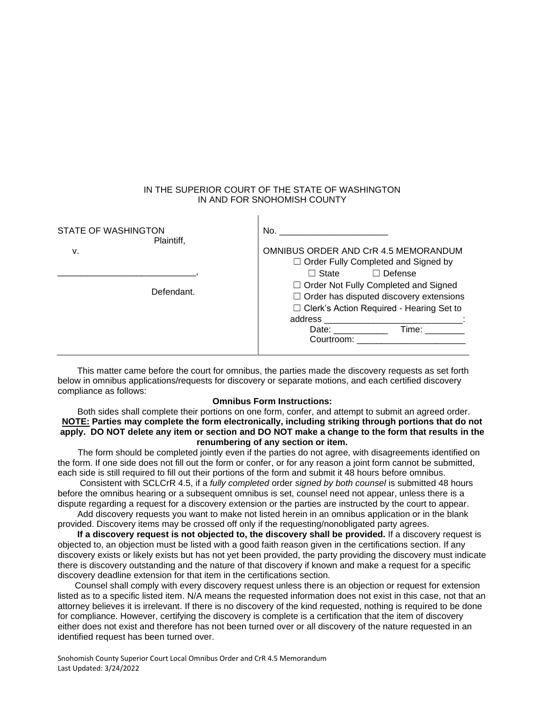#### IN THE SUPERIOR COURT OF THE STATE OF WASHINGTON IN AND FOR SNOHOMISH COUNTY

 $\mathbf{I}$ 

| No.                                                                                                                                                                                                                                                                                                                                                 |
|-----------------------------------------------------------------------------------------------------------------------------------------------------------------------------------------------------------------------------------------------------------------------------------------------------------------------------------------------------|
| OMNIBUS ORDER AND CrR 4.5 MEMORANDUM<br>$\Box$ Order Fully Completed and Signed by<br>$\Box$ State<br>$\Box$ Defense<br>□ Order Not Fully Completed and Signed<br>$\Box$ Order has disputed discovery extensions<br>$\Box$ Clerk's Action Required - Hearing Set to<br>Date: ___________<br>Time: www.com<br>Courtroom: ___________________________ |
|                                                                                                                                                                                                                                                                                                                                                     |

 This matter came before the court for omnibus, the parties made the discovery requests as set forth below in omnibus applications/requests for discovery or separate motions, and each certified discovery compliance as follows:

#### **Omnibus Form Instructions:**

 Both sides shall complete their portions on one form, confer, and attempt to submit an agreed order. **NOTE: Parties may complete the form electronically, including striking through portions that do not apply. DO NOT delete any item or section and DO NOT make a change to the form that results in the renumbering of any section or item.**

The form should be completed jointly even if the parties do not agree, with disagreements identified on the form. If one side does not fill out the form or confer, or for any reason a joint form cannot be submitted, each side is still required to fill out their portions of the form and submit it 48 hours before omnibus.

 Consistent with SCLCrR 4.5, if a *fully completed* order *signed by both counsel* is submitted 48 hours before the omnibus hearing or a subsequent omnibus is set, counsel need not appear, unless there is a dispute regarding a request for a discovery extension or the parties are instructed by the court to appear.

 Add discovery requests you want to make not listed herein in an omnibus application or in the blank provided. Discovery items may be crossed off only if the requesting/nonobligated party agrees.

 **If a discovery request is not objected to, the discovery shall be provided.** If a discovery request is objected to, an objection must be listed with a good faith reason given in the certifications section. If any discovery exists or likely exists but has not yet been provided, the party providing the discovery must indicate there is discovery outstanding and the nature of that discovery if known and make a request for a specific discovery deadline extension for that item in the certifications section.

 Counsel shall comply with every discovery request unless there is an objection or request for extension listed as to a specific listed item. N/A means the requested information does not exist in this case, not that an attorney believes it is irrelevant. If there is no discovery of the kind requested, nothing is required to be done for compliance. However, certifying the discovery is complete is a certification that the item of discovery either does not exist and therefore has not been turned over or all discovery of the nature requested in an identified request has been turned over.

Snohomish County Superior Court Local Omnibus Order and CrR 4.5 Memorandum Last Updated: 3/24/2022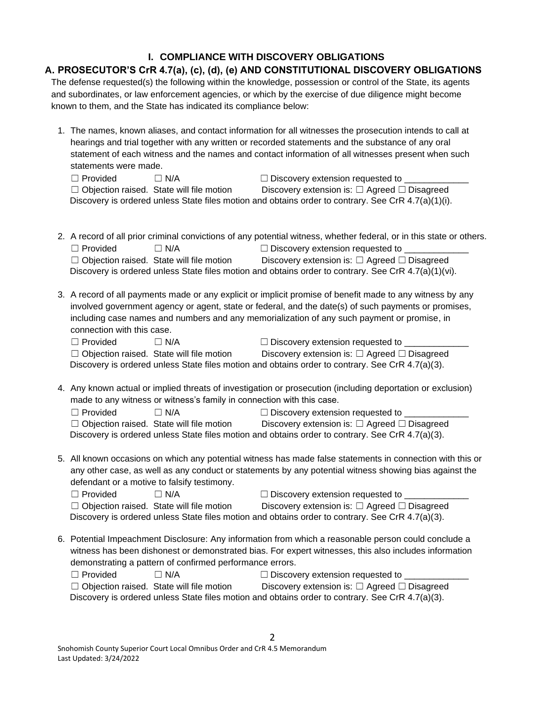# **I. COMPLIANCE WITH DISCOVERY OBLIGATIONS**

### **A. PROSECUTOR'S CrR 4.7(a), (c), (d), (e) AND CONSTITUTIONAL DISCOVERY OBLIGATIONS** The defense requested(s) the following within the knowledge, possession or control of the State, its agents and subordinates, or law enforcement agencies, or which by the exercise of due diligence might become known to them, and the State has indicated its compliance below:

1. The names, known aliases, and contact information for all witnesses the prosecution intends to call at hearings and trial together with any written or recorded statements and the substance of any oral statement of each witness and the names and contact information of all witnesses present when such statements were made.

| $\Box$ Provided | $\Box$ N/A                                      | $\Box$ Discovery extension requested to                                                                |  |
|-----------------|-------------------------------------------------|--------------------------------------------------------------------------------------------------------|--|
|                 | $\Box$ Objection raised. State will file motion | Discovery extension is: $\Box$ Agreed $\Box$ Disagreed                                                 |  |
|                 |                                                 | Discovery is ordered unless State files motion and obtains order to contrary. See CrR $4.7(a)(1)(i)$ . |  |

- 2. A record of all prior criminal convictions of any potential witness, whether federal, or in this state or others.  $\Box$  Provided  $\Box$  N/A  $\Box$  Discovery extension requested to ☐ Objection raised. State will file motion Discovery extension is: ☐ Agreed ☐ Disagreed Discovery is ordered unless State files motion and obtains order to contrary. See CrR 4.7(a)(1)(vi).
- 3. A record of all payments made or any explicit or implicit promise of benefit made to any witness by any involved government agency or agent, state or federal, and the date(s) of such payments or promises, including case names and numbers and any memorialization of any such payment or promise, in connection with this case.

| $\Box$ Provided | $\Box$ N/A                                      | $\Box$ Discovery extension requested to                                                          |
|-----------------|-------------------------------------------------|--------------------------------------------------------------------------------------------------|
|                 | $\Box$ Objection raised. State will file motion | Discovery extension is: $\Box$ Agreed $\Box$ Disagreed                                           |
|                 |                                                 | Discovery is ordered unless State files motion and obtains order to contrary. See CrR 4.7(a)(3). |

4. Any known actual or implied threats of investigation or prosecution (including deportation or exclusion) made to any witness or witness's family in connection with this case.

| □ Provided | $\Box$ N/A                                      | $\Box$ Discovery extension requested to                                                          |
|------------|-------------------------------------------------|--------------------------------------------------------------------------------------------------|
|            | $\Box$ Objection raised. State will file motion | Discovery extension is: $\Box$ Agreed $\Box$ Disagreed                                           |
|            |                                                 | Discovery is ordered unless State files motion and obtains order to contrary. See CrR 4.7(a)(3). |

5. All known occasions on which any potential witness has made false statements in connection with this or any other case, as well as any conduct or statements by any potential witness showing bias against the defendant or a motive to falsify testimony.  $\Box$  Discovery extension requested to  $\Box$  Discovery extension requested to

| $\Box$ Provided | $\sqcup$ IV/A                                   | $\Box$ Discovery exterision requested to                                                         |  |
|-----------------|-------------------------------------------------|--------------------------------------------------------------------------------------------------|--|
|                 | $\Box$ Objection raised. State will file motion | Discovery extension is: $\Box$ Agreed $\Box$ Disagreed                                           |  |
|                 |                                                 | Discovery is ordered unless State files motion and obtains order to contrary. See CrR 4.7(a)(3). |  |

6. Potential Impeachment Disclosure: Any information from which a reasonable person could conclude a witness has been dishonest or demonstrated bias. For expert witnesses, this also includes information demonstrating a pattern of confirmed performance errors.

| $\Box$ Provided . | $\Box$ N/A                                      | $\Box$ Discovery extension requested to                                                          |
|-------------------|-------------------------------------------------|--------------------------------------------------------------------------------------------------|
|                   | $\Box$ Objection raised. State will file motion | Discovery extension is: $\Box$ Agreed $\Box$ Disagreed                                           |
|                   |                                                 | Discovery is ordered unless State files motion and obtains order to contrary. See CrR 4.7(a)(3). |

2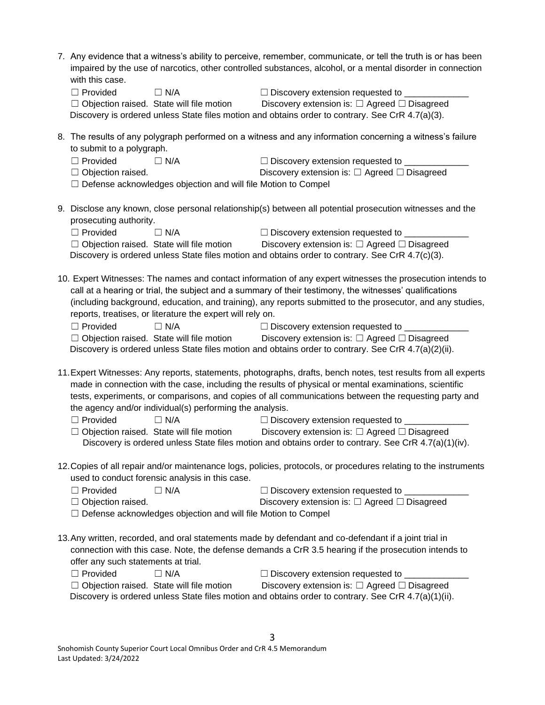| with this case.<br>$\Box$ Provided<br>$\Box$ N/A<br>$\Box$ Objection raised. State will file motion<br>Discovery is ordered unless State files motion and obtains order to contrary. See CrR 4.7(a)(3).                                     | 7. Any evidence that a witness's ability to perceive, remember, communicate, or tell the truth is or has been<br>impaired by the use of narcotics, other controlled substances, alcohol, or a mental disorder in connection<br>$\Box$ Discovery extension requested to $\Box$<br>Discovery extension is: $\Box$ Agreed $\Box$ Disagreed                                                                                                                                                                                                                                                                                                                                                                                                                                                                                                                                                                                                         |
|---------------------------------------------------------------------------------------------------------------------------------------------------------------------------------------------------------------------------------------------|-------------------------------------------------------------------------------------------------------------------------------------------------------------------------------------------------------------------------------------------------------------------------------------------------------------------------------------------------------------------------------------------------------------------------------------------------------------------------------------------------------------------------------------------------------------------------------------------------------------------------------------------------------------------------------------------------------------------------------------------------------------------------------------------------------------------------------------------------------------------------------------------------------------------------------------------------|
| to submit to a polygraph.                                                                                                                                                                                                                   | 8. The results of any polygraph performed on a witness and any information concerning a witness's failure                                                                                                                                                                                                                                                                                                                                                                                                                                                                                                                                                                                                                                                                                                                                                                                                                                       |
| $\Box$ Provided<br>$\Box$ N/A                                                                                                                                                                                                               | □ Discovery extension requested to __________                                                                                                                                                                                                                                                                                                                                                                                                                                                                                                                                                                                                                                                                                                                                                                                                                                                                                                   |
| $\Box$ Objection raised.                                                                                                                                                                                                                    | Discovery extension is: $\Box$ Agreed $\Box$ Disagreed                                                                                                                                                                                                                                                                                                                                                                                                                                                                                                                                                                                                                                                                                                                                                                                                                                                                                          |
| $\Box$ Defense acknowledges objection and will file Motion to Compel                                                                                                                                                                        |                                                                                                                                                                                                                                                                                                                                                                                                                                                                                                                                                                                                                                                                                                                                                                                                                                                                                                                                                 |
| prosecuting authority.                                                                                                                                                                                                                      | 9. Disclose any known, close personal relationship(s) between all potential prosecution witnesses and the                                                                                                                                                                                                                                                                                                                                                                                                                                                                                                                                                                                                                                                                                                                                                                                                                                       |
| $\Box$ Provided<br>$\Box$ N/A                                                                                                                                                                                                               | $\Box$ Discovery extension requested to $\Box$                                                                                                                                                                                                                                                                                                                                                                                                                                                                                                                                                                                                                                                                                                                                                                                                                                                                                                  |
| $\Box$ Objection raised. State will file motion                                                                                                                                                                                             | Discovery extension is: $\Box$ Agreed $\Box$ Disagreed                                                                                                                                                                                                                                                                                                                                                                                                                                                                                                                                                                                                                                                                                                                                                                                                                                                                                          |
| Discovery is ordered unless State files motion and obtains order to contrary. See CrR 4.7(c)(3).                                                                                                                                            |                                                                                                                                                                                                                                                                                                                                                                                                                                                                                                                                                                                                                                                                                                                                                                                                                                                                                                                                                 |
| reports, treatises, or literature the expert will rely on.<br>$\Box$ Provided<br>$\Box$ N/A<br>$\Box$ Objection raised. State will file motion<br>the agency and/or individual(s) performing the analysis.<br>$\Box$ Provided<br>$\Box$ N/A | 10. Expert Witnesses: The names and contact information of any expert witnesses the prosecution intends to<br>call at a hearing or trial, the subject and a summary of their testimony, the witnesses' qualifications<br>(including background, education, and training), any reports submitted to the prosecutor, and any studies,<br>$\Box$ Discovery extension requested to ____<br>Discovery extension is: $\Box$ Agreed $\Box$ Disagreed<br>Discovery is ordered unless State files motion and obtains order to contrary. See CrR $4.7(a)(2)(ii)$ .<br>11. Expert Witnesses: Any reports, statements, photographs, drafts, bench notes, test results from all experts<br>made in connection with the case, including the results of physical or mental examinations, scientific<br>tests, experiments, or comparisons, and copies of all communications between the requesting party and<br>$\Box$ Discovery extension requested to $\Box$ |
| $\Box$ Objection raised. State will file motion                                                                                                                                                                                             | Discovery extension is: □ Agreed □ Disagreed<br>Discovery is ordered unless State files motion and obtains order to contrary. See CrR 4.7(a)(1)(iv).                                                                                                                                                                                                                                                                                                                                                                                                                                                                                                                                                                                                                                                                                                                                                                                            |
|                                                                                                                                                                                                                                             |                                                                                                                                                                                                                                                                                                                                                                                                                                                                                                                                                                                                                                                                                                                                                                                                                                                                                                                                                 |
| used to conduct forensic analysis in this case.                                                                                                                                                                                             | 12. Copies of all repair and/or maintenance logs, policies, protocols, or procedures relating to the instruments                                                                                                                                                                                                                                                                                                                                                                                                                                                                                                                                                                                                                                                                                                                                                                                                                                |
| $\Box$ Provided<br>$\Box$ N/A                                                                                                                                                                                                               | □ Discovery extension requested to _______________                                                                                                                                                                                                                                                                                                                                                                                                                                                                                                                                                                                                                                                                                                                                                                                                                                                                                              |
| $\Box$ Objection raised.                                                                                                                                                                                                                    | Discovery extension is: $\Box$ Agreed $\Box$ Disagreed                                                                                                                                                                                                                                                                                                                                                                                                                                                                                                                                                                                                                                                                                                                                                                                                                                                                                          |
| $\Box$ Defense acknowledges objection and will file Motion to Compel                                                                                                                                                                        |                                                                                                                                                                                                                                                                                                                                                                                                                                                                                                                                                                                                                                                                                                                                                                                                                                                                                                                                                 |
| 13. Any written, recorded, and oral statements made by defendant and co-defendant if a joint trial in<br>offer any such statements at trial.                                                                                                | connection with this case. Note, the defense demands a CrR 3.5 hearing if the prosecution intends to                                                                                                                                                                                                                                                                                                                                                                                                                                                                                                                                                                                                                                                                                                                                                                                                                                            |
| $\Box$ Provided<br>$\Box$ N/A                                                                                                                                                                                                               | □ Discovery extension requested to ______________                                                                                                                                                                                                                                                                                                                                                                                                                                                                                                                                                                                                                                                                                                                                                                                                                                                                                               |
| $\Box$ Objection raised. State will file motion                                                                                                                                                                                             | Discovery extension is: $\Box$ Agreed $\Box$ Disagreed                                                                                                                                                                                                                                                                                                                                                                                                                                                                                                                                                                                                                                                                                                                                                                                                                                                                                          |
|                                                                                                                                                                                                                                             | Discovery is ordered unless State files motion and obtains order to contrary. See CrR 4.7(a)(1)(ii).                                                                                                                                                                                                                                                                                                                                                                                                                                                                                                                                                                                                                                                                                                                                                                                                                                            |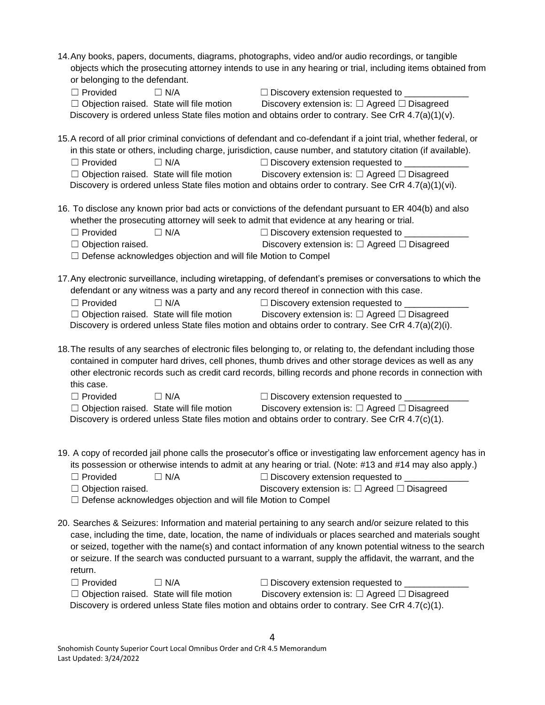| 14. Any books, papers, documents, diagrams, photographs, video and/or audio recordings, or tangible<br>objects which the prosecuting attorney intends to use in any hearing or trial, including items obtained from<br>or belonging to the defendant.<br>$\Box$ Provided<br>$\Box$ N/A<br>□ Discovery extension requested to _________<br>$\Box$ Objection raised. State will file motion<br>Discovery extension is: $\Box$ Agreed $\Box$ Disagreed<br>Discovery is ordered unless State files motion and obtains order to contrary. See CrR 4.7(a)(1)(v). |
|------------------------------------------------------------------------------------------------------------------------------------------------------------------------------------------------------------------------------------------------------------------------------------------------------------------------------------------------------------------------------------------------------------------------------------------------------------------------------------------------------------------------------------------------------------|
| 15.A record of all prior criminal convictions of defendant and co-defendant if a joint trial, whether federal, or<br>in this state or others, including charge, jurisdiction, cause number, and statutory citation (if available).<br>$\Box$ N/A<br>□ Discovery extension requested to _________<br>$\Box$ Provided<br>$\Box$ Objection raised. State will file motion<br>Discovery extension is: $\Box$ Agreed $\Box$ Disagreed<br>Discovery is ordered unless State files motion and obtains order to contrary. See CrR 4.7(a)(1)(vi).                   |
| 16. To disclose any known prior bad acts or convictions of the defendant pursuant to ER 404(b) and also<br>whether the prosecuting attorney will seek to admit that evidence at any hearing or trial.<br>$\Box$ Provided<br>$\Box$ N/A<br>□ Discovery extension requested to _______<br>Discovery extension is: $\Box$ Agreed $\Box$ Disagreed<br>$\Box$ Objection raised.<br>$\Box$ Defense acknowledges objection and will file Motion to Compel                                                                                                         |
| 17. Any electronic surveillance, including wiretapping, of defendant's premises or conversations to which the<br>defendant or any witness was a party and any record thereof in connection with this case.<br>$\Box$ N/A<br>$\Box$ Provided<br>□ Discovery extension requested to <u>■ ■ ■ ■</u><br>$\Box$ Objection raised. State will file motion<br>Discovery extension is: $\Box$ Agreed $\Box$ Disagreed<br>Discovery is ordered unless State files motion and obtains order to contrary. See CrR $4.7(a)(2)(i)$ .                                    |
| 18. The results of any searches of electronic files belonging to, or relating to, the defendant including those<br>contained in computer hard drives, cell phones, thumb drives and other storage devices as well as any<br>other electronic records such as credit card records, billing records and phone records in connection with<br>this case.<br>$\Box$ Provided<br>$\Box$ N/A<br>$\Box$ Discovery extension requested to $\Box$                                                                                                                    |
| Discovery extension is: □ Agreed □ Disagreed<br>$\Box$ Objection raised. State will file motion<br>Discovery is ordered unless State files motion and obtains order to contrary. See CrR 4.7(c)(1).                                                                                                                                                                                                                                                                                                                                                        |
| 19. A copy of recorded jail phone calls the prosecutor's office or investigating law enforcement agency has in<br>its possession or otherwise intends to admit at any hearing or trial. (Note: #13 and #14 may also apply.)<br>$\Box$ Provided<br>$\Box$ N/A<br>$\Box$ Discovery extension requested to _<br>$\Box$ Objection raised.<br>Discovery extension is: $\Box$ Agreed $\Box$ Disagreed<br>$\Box$ Defense acknowledges objection and will file Motion to Compel                                                                                    |
| 20. Searches & Seizures: Information and material pertaining to any search and/or seizure related to this<br>case, including the time, date, location, the name of individuals or places searched and materials sought<br>or seized, together with the name(s) and contact information of any known potential witness to the search<br>or seizure. If the search was conducted pursuant to a warrant, supply the affidavit, the warrant, and the<br>return.<br>$\Box$ N/A                                                                                  |
| $\Box$ Provided<br>$\Box$ Discovery extension requested to $\Box$<br>$\Box$ Objection raised. State will file motion<br>Discovery extension is: $\Box$ Agreed $\Box$ Disagreed<br>Discovery is ordered unless State files motion and obtains order to contrary. See CrR $4.7(c)(1)$ .                                                                                                                                                                                                                                                                      |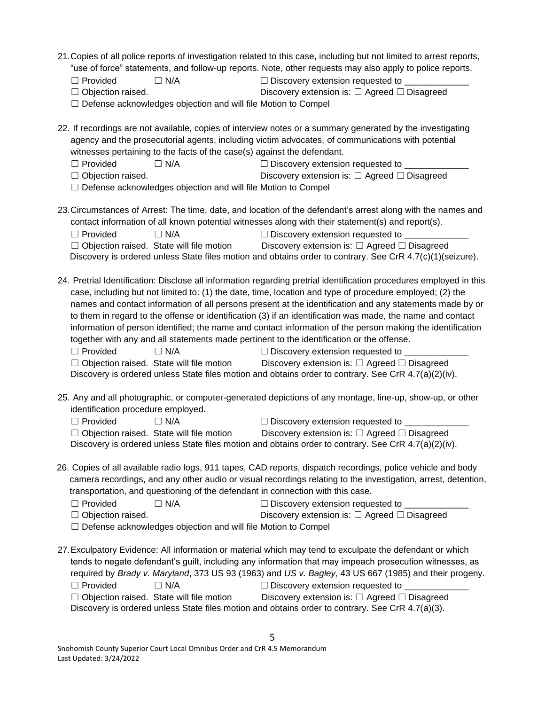- 21.Copies of all police reports of investigation related to this case, including but not limited to arrest reports, "use of force" statements, and follow-up reports. Note, other requests may also apply to police reports.
	- $\Box$  Provided  $\Box$  N/A  $\Box$  Discovery extension requested to
- ☐ Objection raised. Discovery extension is: ☐ Agreed ☐ Disagreed
	- □ Defense acknowledges objection and will file Motion to Compel

22. If recordings are not available, copies of interview notes or a summary generated by the investigating agency and the prosecutorial agents, including victim advocates, of communications with potential witnesses pertaining to the facts of the case(s) against the defendant.

- ☐ Provided ☐ N/A ☐ Discovery extension requested to \_\_\_\_\_\_\_\_\_\_\_\_\_ ☐ Objection raised. Discovery extension is: ☐ Agreed ☐ Disagreed
- □ Defense acknowledges objection and will file Motion to Compel
- 23.Circumstances of Arrest: The time, date, and location of the defendant's arrest along with the names and contact information of all known potential witnesses along with their statement(s) and report(s). ☐ Provided ☐ N/A ☐ Discovery extension requested to \_\_\_\_\_\_\_\_\_\_\_\_\_

| $\Box$ Objection raised. State will file motion | Discovery extension is: $\Box$ Agreed $\Box$ Disagreed                                                       |
|-------------------------------------------------|--------------------------------------------------------------------------------------------------------------|
|                                                 | Discovery is ordered unless State files motion and obtains order to contrary. See CrR $4.7(c)(1)(seizure)$ . |

24. Pretrial Identification: Disclose all information regarding pretrial identification procedures employed in this case, including but not limited to: (1) the date, time, location and type of procedure employed; (2) the names and contact information of all persons present at the identification and any statements made by or to them in regard to the offense or identification (3) if an identification was made, the name and contact information of person identified; the name and contact information of the person making the identification together with any and all statements made pertinent to the identification or the offense.

 $\Box$  Provided  $\Box$  N/A  $\Box$  Discovery extension requested to

☐ Objection raised. State will file motion Discovery extension is: ☐ Agreed ☐ Disagreed Discovery is ordered unless State files motion and obtains order to contrary. See CrR 4.7(a)(2)(iv).

25. Any and all photographic, or computer-generated depictions of any montage, line-up, show-up, or other identification procedure employed.

| $\Box$ Provided | $\Box$ N/A                                      | $\Box$ Discovery extension requested to                                                              |  |
|-----------------|-------------------------------------------------|------------------------------------------------------------------------------------------------------|--|
|                 | $\Box$ Objection raised. State will file motion | Discovery extension is: $\Box$ Agreed $\Box$ Disagreed                                               |  |
|                 |                                                 | Discovery is ordered unless State files motion and obtains order to contrary. See CrR 4.7(a)(2)(iv). |  |

26. Copies of all available radio logs, 911 tapes, CAD reports, dispatch recordings, police vehicle and body camera recordings, and any other audio or visual recordings relating to the investigation, arrest, detention, transportation, and questioning of the defendant in connection with this case.

| $\Box$ Provided          | $\Box$ N/A | $\Box$ Discovery extension requested to                |
|--------------------------|------------|--------------------------------------------------------|
| $\Box$ Objection raised. |            | Discovery extension is: $\Box$ Agreed $\Box$ Disagreed |
|                          |            |                                                        |

□ Defense acknowledges objection and will file Motion to Compel

27.Exculpatory Evidence: All information or material which may tend to exculpate the defendant or which tends to negate defendant's guilt, including any information that may impeach prosecution witnesses, as required by *Brady v. Maryland*, 373 US 93 (1963) and *US v. Bagley*, 43 US 667 (1985) and their progeny.  $\Box$  Provided  $\Box$  N/A  $\Box$  Discovery extension requested to ☐ Objection raised. State will file motion Discovery extension is: ☐ Agreed ☐ Disagreed Discovery is ordered unless State files motion and obtains order to contrary. See CrR 4.7(a)(3).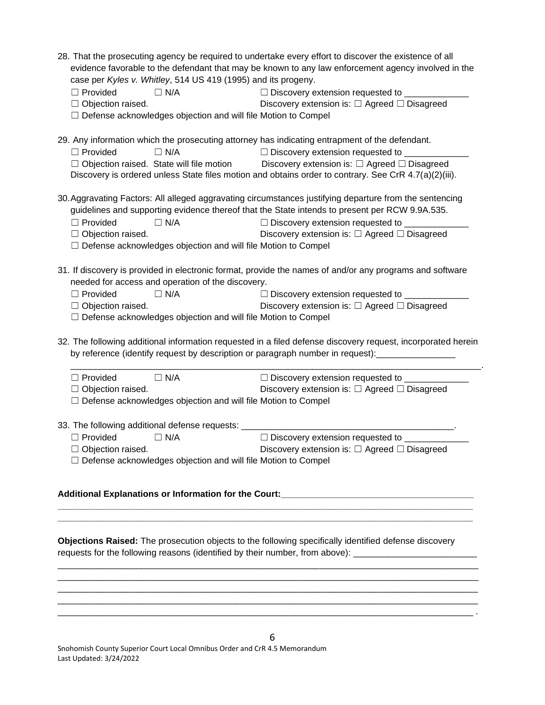| case per Kyles v. Whitley, 514 US 419 (1995) and its progeny.<br>$\Box$ Provided<br>$\Box$ N/A<br>$\Box$ Objection raised.<br>□ Defense acknowledges objection and will file Motion to Compel                       | 28. That the prosecuting agency be required to undertake every effort to discover the existence of all<br>evidence favorable to the defendant that may be known to any law enforcement agency involved in the<br>□ Discovery extension requested to ________<br>Discovery extension is: $\Box$ Agreed $\Box$ Disagreed |  |
|---------------------------------------------------------------------------------------------------------------------------------------------------------------------------------------------------------------------|------------------------------------------------------------------------------------------------------------------------------------------------------------------------------------------------------------------------------------------------------------------------------------------------------------------------|--|
| 29. Any information which the prosecuting attorney has indicating entrapment of the defendant.<br>$\Box$ Provided<br>$\Box$ N/A                                                                                     | □ Discovery extension requested to ___________<br>$\Box$ Objection raised. State will file motion Discovery extension is: $\Box$ Agreed $\Box$ Disagreed<br>Discovery is ordered unless State files motion and obtains order to contrary. See CrR 4.7(a)(2)(iii).                                                      |  |
| $\Box$ Provided<br>$\Box$ N/A<br>$\Box$ Objection raised.<br>□ Defense acknowledges objection and will file Motion to Compel                                                                                        | 30. Aggravating Factors: All alleged aggravating circumstances justifying departure from the sentencing<br>guidelines and supporting evidence thereof that the State intends to present per RCW 9.9A.535.<br>□ Discovery extension requested to _________<br>Discovery extension is: $\Box$ Agreed $\Box$ Disagreed    |  |
| needed for access and operation of the discovery.<br>$\Box$ Provided<br>$\Box$ N/A<br>$\Box$ Objection raised.<br>□ Defense acknowledges objection and will file Motion to Compel                                   | 31. If discovery is provided in electronic format, provide the names of and/or any programs and software<br>$\Box$ Discovery extension requested to $\Box$<br>Discovery extension is: $\Box$ Agreed $\Box$ Disagreed                                                                                                   |  |
| 32. The following additional information requested in a filed defense discovery request, incorporated herein<br>by reference (identify request by description or paragraph number in request): ____________________ |                                                                                                                                                                                                                                                                                                                        |  |
| $\Box$ N/A<br>$\Box$ Provided<br>$\Box$ Objection raised.<br>□ Defense acknowledges objection and will file Motion to Compel                                                                                        | □ Discovery extension requested to ______________<br>Discovery extension is: $\Box$ Agreed $\Box$ Disagreed                                                                                                                                                                                                            |  |
| $\Box$ Provided<br>$\Box$ N/A<br>$\Box$ Objection raised.<br>□ Defense acknowledges objection and will file Motion to Compel                                                                                        | □ Discovery extension requested to __________<br>Discovery extension is: $\Box$ Agreed $\Box$ Disagreed                                                                                                                                                                                                                |  |

#### **Additional Explanations or Information for the Court:\_\_\_\_\_\_\_\_\_\_\_\_\_\_\_\_\_\_\_\_\_\_\_\_\_\_\_\_\_\_\_\_\_\_\_\_\_\_\_**

**Objections Raised:** The prosecution objects to the following specifically identified defense discovery requests for the following reasons (identified by their number, from above): \_\_\_\_\_\_\_\_\_\_\_\_\_\_\_\_\_\_\_\_\_\_

\_\_\_\_\_\_\_\_\_\_\_\_\_\_\_\_\_\_\_\_\_\_\_\_\_\_\_\_\_\_\_\_\_\_\_\_\_\_\_\_\_\_\_\_\_\_\_\_\_\_\_\_\_\_\_\_\_\_\_\_\_\_\_\_\_\_\_\_\_\_\_\_\_\_\_\_\_\_\_\_\_\_\_\_\_

\_\_\_\_\_\_\_\_\_\_\_\_\_\_\_\_\_\_\_\_\_\_\_\_\_\_\_\_\_\_\_\_\_\_\_\_\_\_\_\_\_\_\_\_\_\_\_\_\_\_\_\_\_\_\_\_\_\_\_\_\_\_\_\_\_\_\_\_\_\_\_\_\_\_\_\_\_\_\_\_\_\_\_\_\_

\_\_\_\_\_\_\_\_\_\_\_\_\_\_\_\_\_\_\_\_\_\_\_\_\_\_\_\_\_\_\_\_\_\_\_\_\_\_\_\_\_\_\_\_\_\_\_\_\_\_\_\_\_\_\_\_\_\_\_\_\_\_\_\_\_\_\_\_\_\_\_\_\_\_\_\_\_\_\_\_\_\_\_\_ .

**\_\_\_\_\_\_\_\_\_\_\_\_\_\_\_\_\_\_\_\_\_\_\_\_\_\_\_\_\_\_\_\_\_\_\_\_\_\_\_\_\_\_\_\_\_\_\_\_\_\_\_\_\_\_\_\_\_\_\_\_\_\_\_\_\_\_\_\_\_\_\_\_\_\_\_\_\_\_\_\_\_\_\_\_** 

**\_\_\_\_\_\_\_\_\_\_\_\_\_\_\_\_\_\_\_\_\_\_\_\_\_\_\_\_\_\_\_\_\_\_\_\_\_\_\_\_\_\_\_\_\_\_\_\_\_\_\_\_\_\_\_\_\_\_\_\_\_\_\_\_\_\_\_\_\_\_\_\_\_\_\_\_\_\_\_\_\_\_\_\_**

Snohomish County Superior Court Local Omnibus Order and CrR 4.5 Memorandum Last Updated: 3/24/2022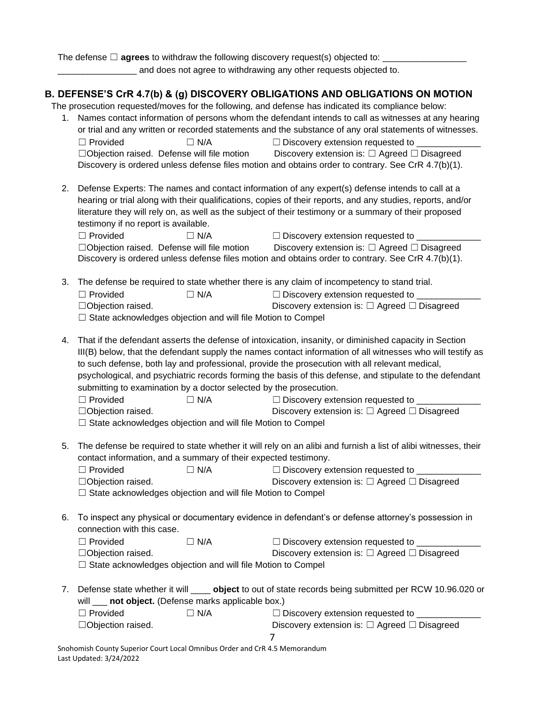The defense □ **agrees** to withdraw the following discovery request(s) objected to: \_

and does not agree to withdrawing any other requests objected to.

# **B. DEFENSE'S CrR 4.7(b) & (g) DISCOVERY OBLIGATIONS AND OBLIGATIONS ON MOTION**

The prosecution requested/moves for the following, and defense has indicated its compliance below:

- 1. Names contact information of persons whom the defendant intends to call as witnesses at any hearing or trial and any written or recorded statements and the substance of any oral statements of witnesses. ☐ Provided ☐ N/A ☐ Discovery extension requested to \_\_\_\_\_\_\_\_\_\_\_\_\_ ☐Objection raised. Defense will file motion Discovery extension is: ☐ Agreed ☐ Disagreed Discovery is ordered unless defense files motion and obtains order to contrary. See CrR 4.7(b)(1).
- 2. Defense Experts: The names and contact information of any expert(s) defense intends to call at a hearing or trial along with their qualifications, copies of their reports, and any studies, reports, and/or literature they will rely on, as well as the subject of their testimony or a summary of their proposed testimony if no report is available.

| $\Box$ Provided | $\Box$ N/A                                        | $\Box$ Discovery extension requested to                                                            |  |
|-----------------|---------------------------------------------------|----------------------------------------------------------------------------------------------------|--|
|                 | $\Box$ Objection raised. Defense will file motion | Discovery extension is: $\Box$ Agreed $\Box$ Disagreed                                             |  |
|                 |                                                   | Discovery is ordered unless defense files motion and obtains order to contrary. See CrR 4.7(b)(1). |  |

- 3. The defense be required to state whether there is any claim of incompetency to stand trial.  $\Box$  Provided  $\Box$  N/A  $\Box$  Discovery extension requested to  $\Box$ ☐Objection raised. Discovery extension is: ☐ Agreed ☐ Disagreed □ State acknowledges objection and will file Motion to Compel
- 4. That if the defendant asserts the defense of intoxication, insanity, or diminished capacity in Section III(B) below, that the defendant supply the names contact information of all witnesses who will testify as to such defense, both lay and professional, provide the prosecution with all relevant medical, psychological, and psychiatric records forming the basis of this defense, and stipulate to the defendant submitting to examination by a doctor selected by the prosecution.

| $\Box$ Provided                                                    | $\sqsupset$ N/A | $\Box$ Discovery extension requested to                |
|--------------------------------------------------------------------|-----------------|--------------------------------------------------------|
| $\Box$ Objection raised.                                           |                 | Discovery extension is: $\Box$ Agreed $\Box$ Disagreed |
| $\Box$ State acknowledges objection and will file Motion to Compel |                 |                                                        |

5. The defense be required to state whether it will rely on an alibi and furnish a list of alibi witnesses, their contact information, and a summary of their expected testimony.

| $\Box$ Provided                                                    | $\Box$ N/A | $\Box$ Discovery extension requested to                |
|--------------------------------------------------------------------|------------|--------------------------------------------------------|
| $\Box$ Objection raised.                                           |            | Discovery extension is: $\Box$ Agreed $\Box$ Disagreed |
| $\Box$ State acknowledges objection and will file Motion to Compel |            |                                                        |

6. To inspect any physical or documentary evidence in defendant's or defense attorney's possession in connection with this case.

| $\Box$ Provided                                                      | $\Box$ N/A | $\Box$ Discovery extension requested to $\Box$         |
|----------------------------------------------------------------------|------------|--------------------------------------------------------|
| $\Box$ Objection raised.                                             |            | Discovery extension is: $\Box$ Agreed $\Box$ Disagreed |
| $\Box$ Ctate coloney ledges objection and will file Metion to Compal |            |                                                        |

- ☐ State acknowledges objection and will file Motion to Compel
- 7. Defense state whether it will \_\_\_\_ **object** to out of state records being submitted per RCW 10.96.020 or will **not object.** (Defense marks applicable box.)

| $\Box$ Provided          | $\Box$ N/A | $\Box$ Discovery extension requested to                |
|--------------------------|------------|--------------------------------------------------------|
| $\Box$ Objection raised. |            | Discovery extension is: $\Box$ Agreed $\Box$ Disagreed |
|                          |            |                                                        |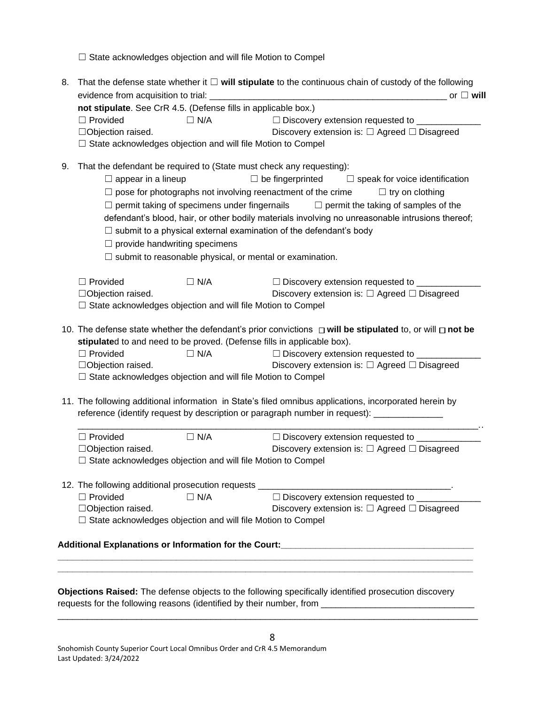□ State acknowledges objection and will file Motion to Compel

| 8. | That the defense state whether it $\Box$ will stipulate to the continuous chain of custody of the following                                                      |
|----|------------------------------------------------------------------------------------------------------------------------------------------------------------------|
|    | or $\Box$ will                                                                                                                                                   |
|    | not stipulate. See CrR 4.5. (Defense fills in applicable box.)                                                                                                   |
|    | $\Box$ Provided<br>$\Box$ N/A<br>□ Discovery extension requested to _________                                                                                    |
|    | Discovery extension is: $\Box$ Agreed $\Box$ Disagreed<br>□Objection raised.                                                                                     |
|    | $\Box$ State acknowledges objection and will file Motion to Compel                                                                                               |
| 9. | That the defendant be required to (State must check any requesting):                                                                                             |
|    | $\Box$ appear in a lineup<br>$\Box$ be fingerprinted $\Box$ speak for voice identification                                                                       |
|    | $\Box$ pose for photographs not involving reenactment of the crime<br>$\Box$ try on clothing                                                                     |
|    | $\Box$ permit taking of specimens under fingernails $\Box$ permit the taking of samples of the                                                                   |
|    | defendant's blood, hair, or other bodily materials involving no unreasonable intrusions thereof;                                                                 |
|    | $\Box$ submit to a physical external examination of the defendant's body                                                                                         |
|    |                                                                                                                                                                  |
|    | $\Box$ provide handwriting specimens                                                                                                                             |
|    | $\Box$ submit to reasonable physical, or mental or examination.                                                                                                  |
|    | $\Box$ Provided<br>$\Box$ N/A<br>□ Discovery extension requested to _______                                                                                      |
|    | Discovery extension is: $\Box$ Agreed $\Box$ Disagreed<br>□Objection raised.                                                                                     |
|    | $\Box$ State acknowledges objection and will file Motion to Compel                                                                                               |
|    |                                                                                                                                                                  |
|    | 10. The defense state whether the defendant's prior convictions $\Box$ will be stipulated to, or will $\Box$ not be                                              |
|    | stipulated to and need to be proved. (Defense fills in applicable box).                                                                                          |
|    | $\Box$ Provided<br>$\Box$ N/A<br>□ Discovery extension requested to _________                                                                                    |
|    | Discovery extension is: $\Box$ Agreed $\Box$ Disagreed<br>□Objection raised.                                                                                     |
|    | □ State acknowledges objection and will file Motion to Compel                                                                                                    |
|    | 11. The following additional information in State's filed omnibus applications, incorporated herein by                                                           |
|    | reference (identify request by description or paragraph number in request): ______________                                                                       |
|    |                                                                                                                                                                  |
|    | $\Box$ N/A<br>□ Discovery extension requested to _______________<br>$\Box$ Provided                                                                              |
|    | □Objection raised.<br>Discovery extension is: $\Box$ Agreed $\Box$ Disagreed                                                                                     |
|    | $\Box$ State acknowledges objection and will file Motion to Compel                                                                                               |
|    |                                                                                                                                                                  |
|    | 12. The following additional prosecution requests ______________________________<br>□ Discovery extension requested to ________<br>$\Box$ Provided<br>$\Box$ N/A |
|    | □Objection raised.<br>Discovery extension is: □ Agreed □ Disagreed                                                                                               |
|    | □ State acknowledges objection and will file Motion to Compel                                                                                                    |
|    |                                                                                                                                                                  |
|    | Additional Explanations or Information for the Court:____________________________                                                                                |
|    |                                                                                                                                                                  |
|    |                                                                                                                                                                  |
|    |                                                                                                                                                                  |

**Objections Raised:** The defense objects to the following specifically identified prosecution discovery requests for the following reasons (identified by their number, from \_\_\_\_\_\_\_\_\_\_\_\_\_\_\_\_\_\_\_\_\_\_\_\_\_\_\_\_\_\_\_

8

\_\_\_\_\_\_\_\_\_\_\_\_\_\_\_\_\_\_\_\_\_\_\_\_\_\_\_\_\_\_\_\_\_\_\_\_\_\_\_\_\_\_\_\_\_\_\_\_\_\_\_\_\_\_\_\_\_\_\_\_\_\_\_\_\_\_\_\_\_\_\_\_\_\_\_\_\_\_\_\_\_\_\_\_\_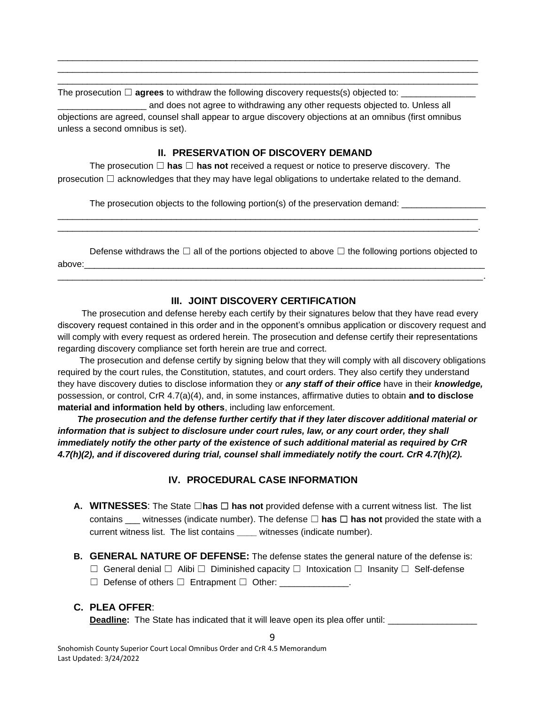The prosecution ☐ **agrees** to withdraw the following discovery requests(s) objected to: \_\_\_\_\_\_\_\_\_\_\_\_\_\_\_

\_\_\_\_\_\_\_\_\_\_\_\_\_\_\_\_\_\_ and does not agree to withdrawing any other requests objected to. Unless all objections are agreed, counsel shall appear to argue discovery objections at an omnibus (first omnibus unless a second omnibus is set).

\_\_\_\_\_\_\_\_\_\_\_\_\_\_\_\_\_\_\_\_\_\_\_\_\_\_\_\_\_\_\_\_\_\_\_\_\_\_\_\_\_\_\_\_\_\_\_\_\_\_\_\_\_\_\_\_\_\_\_\_\_\_\_\_\_\_\_\_\_\_\_\_\_\_\_\_\_\_\_\_\_\_\_\_\_ \_\_\_\_\_\_\_\_\_\_\_\_\_\_\_\_\_\_\_\_\_\_\_\_\_\_\_\_\_\_\_\_\_\_\_\_\_\_\_\_\_\_\_\_\_\_\_\_\_\_\_\_\_\_\_\_\_\_\_\_\_\_\_\_\_\_\_\_\_\_\_\_\_\_\_\_\_\_\_\_\_\_\_\_\_ \_\_\_\_\_\_\_\_\_\_\_\_\_\_\_\_\_\_\_\_\_\_\_\_\_\_\_\_\_\_\_\_\_\_\_\_\_\_\_\_\_\_\_\_\_\_\_\_\_\_\_\_\_\_\_\_\_\_\_\_\_\_\_\_\_\_\_\_\_\_\_\_\_\_\_\_\_\_\_\_\_\_\_\_\_

#### **II. PRESERVATION OF DISCOVERY DEMAND**

The prosecution ☐ **has** ☐ **has not** received a request or notice to preserve discovery. The prosecution  $\Box$  acknowledges that they may have legal obligations to undertake related to the demand.

The prosecution objects to the following portion(s) of the preservation demand:

Defense withdraws the  $□$  all of the portions objected to above  $□$  the following portions objected to above:\_\_\_\_\_\_\_\_\_\_\_\_\_\_\_\_\_\_\_\_\_\_\_\_\_\_\_\_\_\_\_\_\_\_\_\_\_\_\_\_\_\_\_\_\_\_\_\_\_\_\_\_\_\_\_\_\_\_\_\_\_\_\_\_\_\_\_\_\_\_\_\_\_\_\_\_\_\_\_\_\_

\_\_\_\_\_\_\_\_\_\_\_\_\_\_\_\_\_\_\_\_\_\_\_\_\_\_\_\_\_\_\_\_\_\_\_\_\_\_\_\_\_\_\_\_\_\_\_\_\_\_\_\_\_\_\_\_\_\_\_\_\_\_\_\_\_\_\_\_\_\_\_\_\_\_\_\_\_\_\_\_\_\_\_\_\_\_.

\_\_\_\_\_\_\_\_\_\_\_\_\_\_\_\_\_\_\_\_\_\_\_\_\_\_\_\_\_\_\_\_\_\_\_\_\_\_\_\_\_\_\_\_\_\_\_\_\_\_\_\_\_\_\_\_\_\_\_\_\_\_\_\_\_\_\_\_\_\_\_\_\_\_\_\_\_\_\_\_\_\_\_\_\_ \_\_\_\_\_\_\_\_\_\_\_\_\_\_\_\_\_\_\_\_\_\_\_\_\_\_\_\_\_\_\_\_\_\_\_\_\_\_\_\_\_\_\_\_\_\_\_\_\_\_\_\_\_\_\_\_\_\_\_\_\_\_\_\_\_\_\_\_\_\_\_\_\_\_\_\_\_\_\_\_\_\_\_\_\_.

# **III. JOINT DISCOVERY CERTIFICATION**

The prosecution and defense hereby each certify by their signatures below that they have read every discovery request contained in this order and in the opponent's omnibus application or discovery request and will comply with every request as ordered herein. The prosecution and defense certify their representations regarding discovery compliance set forth herein are true and correct.

The prosecution and defense certify by signing below that they will comply with all discovery obligations required by the court rules, the Constitution, statutes, and court orders. They also certify they understand they have discovery duties to disclose information they or *any staff of their office* have in their *knowledge,* possession, or control, CrR 4.7(a)(4), and, in some instances, affirmative duties to obtain **and to disclose material and information held by others**, including law enforcement.

 *The prosecution and the defense further certify that if they later discover additional material or* information that is subject to disclosure under court rules, law, or any court order, they shall *immediately notify the other party of the existence of such additional material as required by CrR 4.7(h)(2), and if discovered during trial, counsel shall immediately notify the court. CrR 4.7(h)(2).*

# **IV. PROCEDURAL CASE INFORMATION**

- **A. WITNESSES**: The State ☐**has** ☐ **has not** provided defense with a current witness list. The list contains witnesses (indicate number). The defense  $\Box$  **has**  $\Box$  **has not** provided the state with a current witness list. The list contains **\_\_\_\_** witnesses (indicate number).
- **B. GENERAL NATURE OF DEFENSE:** The defense states the general nature of the defense is: ☐ General denial ☐ Alibi ☐ Diminished capacity ☐ Intoxication ☐ Insanity ☐ Self-defense
	- ☐ Defense of others ☐ Entrapment ☐ Other: \_\_\_\_\_\_\_\_\_\_\_\_\_\_.

### **C. PLEA OFFER**:

**Deadline:** The State has indicated that it will leave open its plea offer until: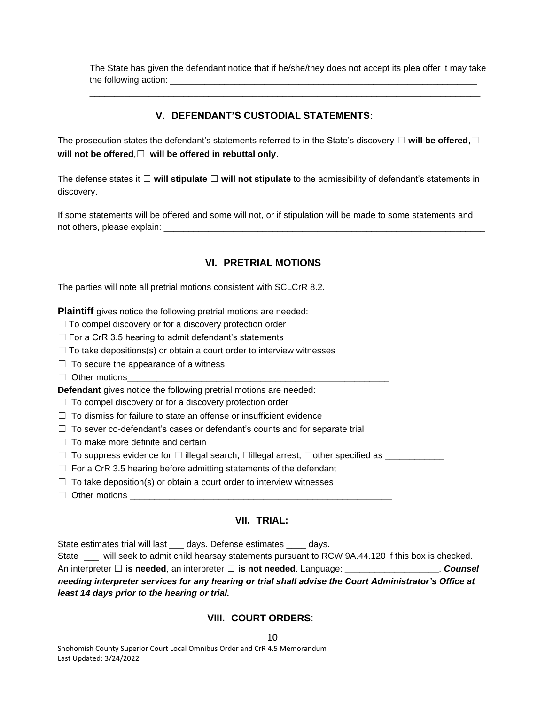The State has given the defendant notice that if he/she/they does not accept its plea offer it may take the following action: \_\_\_\_\_\_\_\_\_\_\_\_\_\_\_\_\_\_\_\_\_\_\_\_\_\_\_\_\_\_\_\_\_\_\_\_\_\_\_\_\_\_\_\_\_\_\_\_\_\_\_\_\_\_\_\_\_\_\_\_\_\_

\_\_\_\_\_\_\_\_\_\_\_\_\_\_\_\_\_\_\_\_\_\_\_\_\_\_\_\_\_\_\_\_\_\_\_\_\_\_\_\_\_\_\_\_\_\_\_\_\_\_\_\_\_\_\_\_\_\_\_\_\_\_\_\_\_\_\_\_\_\_\_\_\_\_\_\_\_\_\_

# **V. DEFENDANT'S CUSTODIAL STATEMENTS:**

The prosecution states the defendant's statements referred to in the State's discovery ☐ **will be offered**,☐ **will not be offered**,☐ **will be offered in rebuttal only**.

The defense states it ☐ **will stipulate** ☐ **will not stipulate** to the admissibility of defendant's statements in discovery.

If some statements will be offered and some will not, or if stipulation will be made to some statements and not others, please explain: \_\_\_\_\_\_\_\_\_\_\_\_\_\_\_\_\_\_\_\_\_\_\_\_\_\_\_\_\_\_\_\_\_\_\_\_\_\_\_\_\_\_\_\_\_\_\_\_\_\_\_\_\_\_\_\_\_\_\_\_\_\_\_\_\_

\_\_\_\_\_\_\_\_\_\_\_\_\_\_\_\_\_\_\_\_\_\_\_\_\_\_\_\_\_\_\_\_\_\_\_\_\_\_\_\_\_\_\_\_\_\_\_\_\_\_\_\_\_\_\_\_\_\_\_\_\_\_\_\_\_\_\_\_\_\_\_\_\_\_\_\_\_\_\_\_\_\_\_\_\_\_

# **VI. PRETRIAL MOTIONS**

The parties will note all pretrial motions consistent with SCLCrR 8.2.

**Plaintiff** gives notice the following pretrial motions are needed:

 $\Box$  To compel discovery or for a discovery protection order

 $\Box$  For a CrR 3.5 hearing to admit defendant's statements

 $\Box$  To take depositions(s) or obtain a court order to interview witnesses

- $\Box$  To secure the appearance of a witness
- $\Box$  Other motions

**Defendant** gives notice the following pretrial motions are needed:

- $\Box$  To compel discovery or for a discovery protection order
- $\Box$  To dismiss for failure to state an offense or insufficient evidence
- $\Box$  To sever co-defendant's cases or defendant's counts and for separate trial
- $\Box$  To make more definite and certain
- ☐ To suppress evidence for ☐ illegal search, ☐illegal arrest, ☐other specified as \_\_\_\_\_\_\_\_\_\_\_\_
- $\Box$  For a CrR 3.5 hearing before admitting statements of the defendant
- $\Box$  To take deposition(s) or obtain a court order to interview witnesses
- $\Box$  Other motions

#### **VII. TRIAL:**

State estimates trial will last days. Defense estimates days.

State \_\_\_ will seek to admit child hearsay statements pursuant to RCW 9A.44.120 if this box is checked. An interpreter □ **is needed**, an interpreter □ **is not needed**. Language: \_\_\_\_\_\_\_\_\_\_\_\_\_\_\_\_\_\_\_\_\_\_. *Counsel needing interpreter services for any hearing or trial shall advise the Court Administrator's Office at least 14 days prior to the hearing or trial.*

#### **VIII. COURT ORDERS**: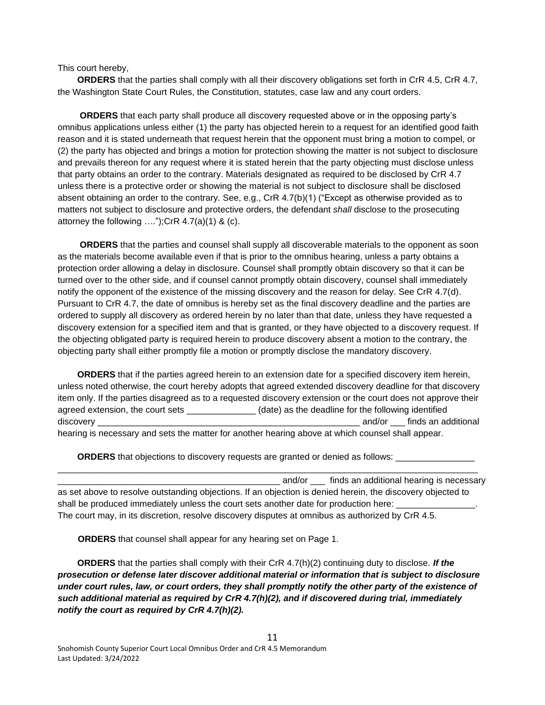This court hereby,

**ORDERS** that the parties shall comply with all their discovery obligations set forth in CrR 4.5, CrR 4.7, the Washington State Court Rules, the Constitution, statutes, case law and any court orders.

 **ORDERS** that each party shall produce all discovery requested above or in the opposing party's omnibus applications unless either (1) the party has objected herein to a request for an identified good faith reason and it is stated underneath that request herein that the opponent must bring a motion to compel, or (2) the party has objected and brings a motion for protection showing the matter is not subject to disclosure and prevails thereon for any request where it is stated herein that the party objecting must disclose unless that party obtains an order to the contrary. Materials designated as required to be disclosed by CrR 4.7 unless there is a protective order or showing the material is not subject to disclosure shall be disclosed absent obtaining an order to the contrary. See, e.g., CrR 4.7(b)(1) ("Except as otherwise provided as to matters not subject to disclosure and protective orders, the defendant *shall* disclose to the prosecuting attorney the following  $\dots$ ");CrR 4.7(a)(1) & (c).

 **ORDERS** that the parties and counsel shall supply all discoverable materials to the opponent as soon as the materials become available even if that is prior to the omnibus hearing, unless a party obtains a protection order allowing a delay in disclosure. Counsel shall promptly obtain discovery so that it can be turned over to the other side, and if counsel cannot promptly obtain discovery, counsel shall immediately notify the opponent of the existence of the missing discovery and the reason for delay. See CrR 4.7(d). Pursuant to CrR 4.7, the date of omnibus is hereby set as the final discovery deadline and the parties are ordered to supply all discovery as ordered herein by no later than that date, unless they have requested a discovery extension for a specified item and that is granted, or they have objected to a discovery request. If the objecting obligated party is required herein to produce discovery absent a motion to the contrary, the objecting party shall either promptly file a motion or promptly disclose the mandatory discovery.

 **ORDERS** that if the parties agreed herein to an extension date for a specified discovery item herein, unless noted otherwise, the court hereby adopts that agreed extended discovery deadline for that discovery item only. If the parties disagreed as to a requested discovery extension or the court does not approve their agreed extension, the court sets \_\_\_\_\_\_\_\_\_\_\_\_\_\_ (date) as the deadline for the following identified discovery \_\_\_\_\_\_\_\_\_\_\_\_\_\_\_\_\_\_\_\_\_\_\_\_\_\_\_\_\_\_\_\_\_\_\_\_\_\_\_\_\_\_\_\_\_\_\_\_\_\_\_\_\_ and/or \_\_\_ finds an additional hearing is necessary and sets the matter for another hearing above at which counsel shall appear.

**ORDERS** that objections to discovery requests are granted or denied as follows:

\_ and/or \_\_\_\_ finds an additional hearing is necessary as set above to resolve outstanding objections. If an objection is denied herein, the discovery objected to shall be produced immediately unless the court sets another date for production here: The court may, in its discretion, resolve discovery disputes at omnibus as authorized by CrR 4.5.

\_\_\_\_\_\_\_\_\_\_\_\_\_\_\_\_\_\_\_\_\_\_\_\_\_\_\_\_\_\_\_\_\_\_\_\_\_\_\_\_\_\_\_\_\_\_\_\_\_\_\_\_\_\_\_\_\_\_\_\_\_\_\_\_\_\_\_\_\_\_\_\_\_\_\_\_\_\_\_\_\_\_\_\_\_

**ORDERS** that counsel shall appear for any hearing set on Page 1.

 **ORDERS** that the parties shall comply with their CrR 4.7(h)(2) continuing duty to disclose. *If the prosecution or defense later discover additional material or information that is subject to disclosure under court rules, law, or court orders, they shall promptly notify the other party of the existence of such additional material as required by CrR 4.7(h)(2), and if discovered during trial, immediately notify the court as required by CrR 4.7(h)(2).*